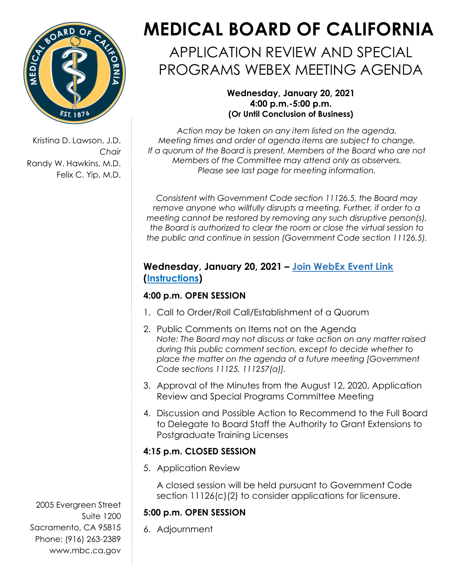

Kristina D. Lawson, J.D. *Chair* Randy W. Hawkins, M.D. Felix C. Yip, M.D.

# **MEDICAL BOARD OF CALIFORNIA**

## APPLICATION REVIEW AND SPECIAL PROGRAMS WEBEX MEETING AGENDA

#### **Wednesday, January 20, 2021 4:00 p.m.-5:00 p.m. (Or Until Conclusion of Business)**

*Action may be taken on any item listed on the agenda. Meeting times and order of agenda items are subject to change. If a quorum of the Board is present, Members of the Board who are not Members of the Committee may attend only as observers. Please see last page for meeting information.*

*Consistent with Government Code section 11126.5, the Board may remove anyone who willfully disrupts a meeting. Further, if order to a meeting cannot be restored by removing any such disruptive person(s), the Board is authorized to clear the room or close the virtual session to the public and continue in session (Government Code section 11126.5).*

#### **Wednesday, January 20, 2021 – [Join WebEx Event Link](https://dca-meetings.webex.com/dca-meetings/onstage/g.php?MTID=e774e4973d0611957bdb1073f17e6bcf7) [\(Instructions\)](https://www.mbc.ca.gov/Download/User-Guides/HowToJoinAWebExEvent.pdf)**

### **4:00 p.m. OPEN SESSION**

- 1. Call to Order/Roll Call/Establishment of a Quorum
- 2. Public Comments on Items not on the Agenda *Note: The Board may not discuss or take action on any matter raised during this public comment section, except to decide whether to place the matter on the agenda of a future meeting [Government Code sections 11125, 111257(a)].*
- 3. Approval of the Minutes from the August 12, 2020, Application Review and Special Programs Committee Meeting
- 4. Discussion and Possible Action to Recommend to the Full Board to Delegate to Board Staff the Authority to Grant Extensions to Postgraduate Training Licenses

#### **4:15 p.m. CLOSED SESSION**

5. Application Review

A closed session will be held pursuant to Government Code section 11126(c)(2) to consider applications for licensure.

#### **5:00 p.m. OPEN SESSION**

6. Adjournment

2005 Evergreen Street Suite 1200 Sacramento, CA 95815 Phone: (916) 263-2389 [www.mbc.ca.gov](http://www.mbc.ca.gov/)